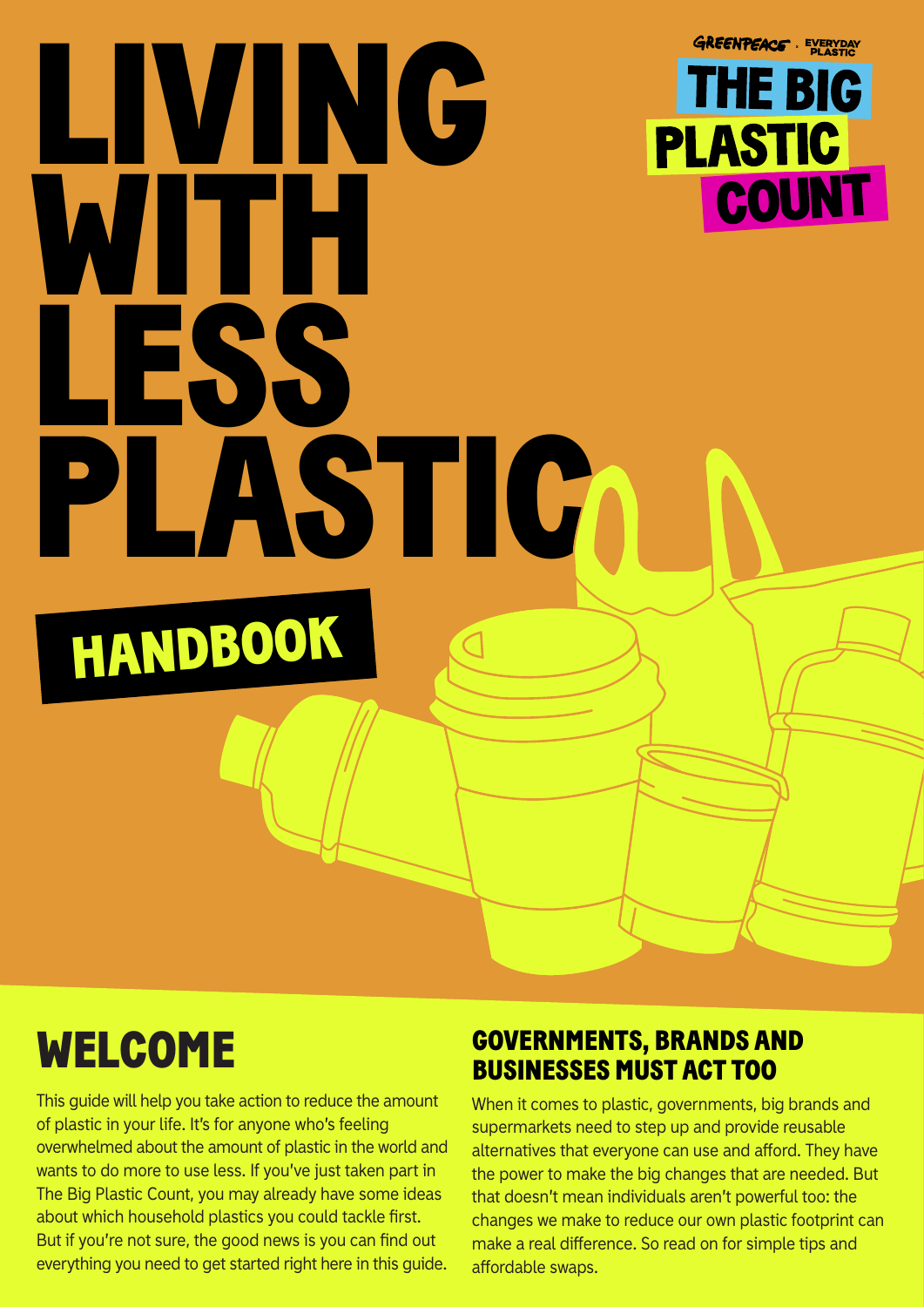# **GREENPEACE** EVERYDAY LIVING **THE BIG PLASTIC** COUNT WITH LESS PLASTIC HANDBOOK

## WELCOME

This guide will help you take action to reduce the amount of plastic in your life. It's for anyone who's feeling overwhelmed about the amount of plastic in the world and wants to do more to use less. If you've just taken part in The Big Plastic Count, you may already have some ideas about which household plastics you could tackle first. But if you're not sure, the good news is you can find out everything you need to get started right here in this guide.

### GOVERNMENTS, BRANDS AND BUSINESSES MUST ACT TOO

When it comes to plastic, governments, big brands and supermarkets need to step up and provide reusable alternatives that everyone can use and afford. They have the power to make the big changes that are needed. But that doesn't mean individuals aren't powerful too: the changes we make to reduce our own plastic footprint can make a real difference. So read on for simple tips and affordable swaps.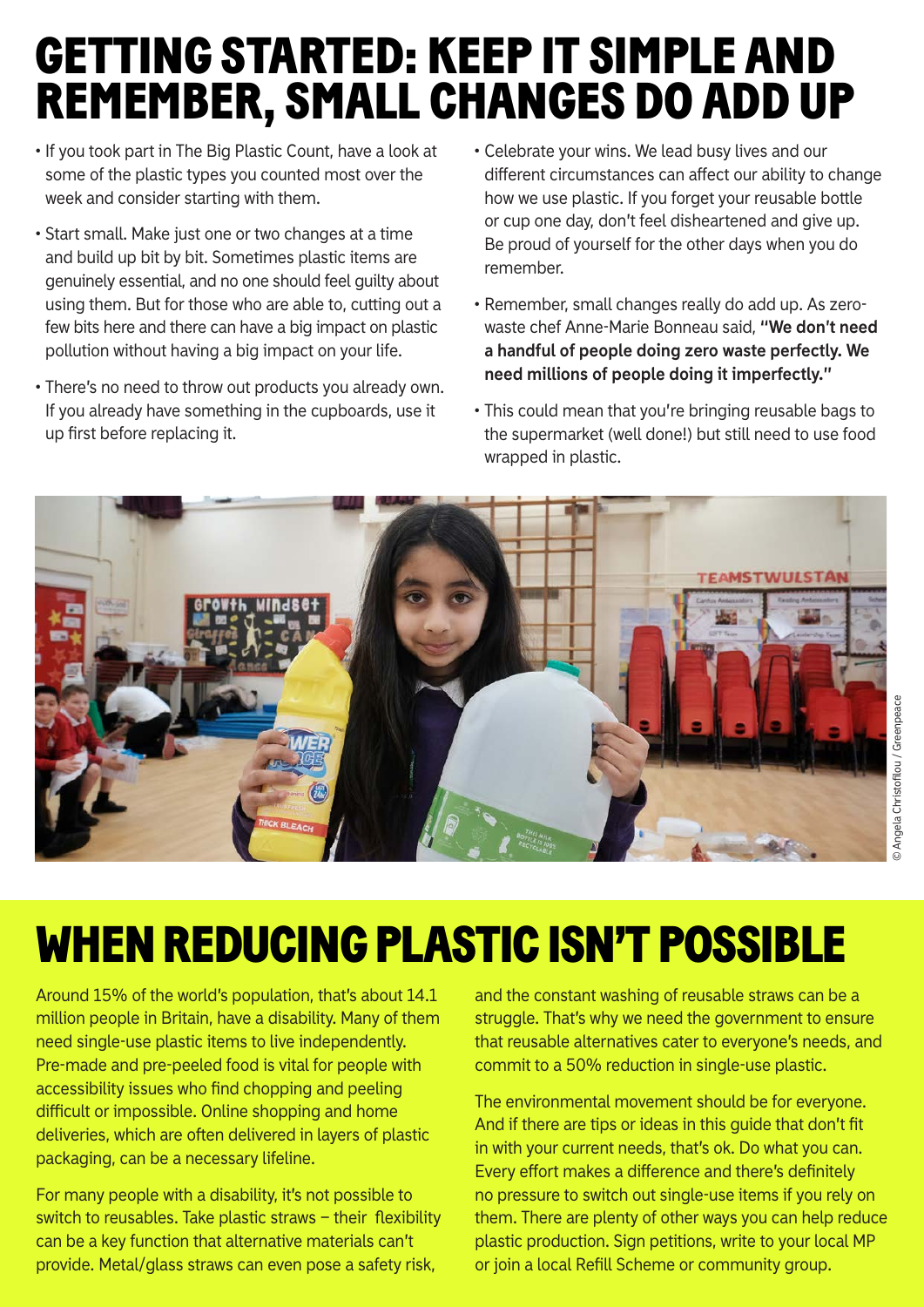## GETTING STARTED: KEEP IT SIMPLE AND REMEMBER, SMALL CHANGES DO ADD UP

- If you took part in The Big Plastic Count, have a look at some of the plastic types you counted most over the week and consider starting with them.
- Start small. Make just one or two changes at a time and build up bit by bit. Sometimes plastic items are genuinely essential, and no one should feel guilty about using them. But for those who are able to, cutting out a few bits here and there can have a big impact on plastic pollution without having a big impact on your life.
- There's no need to throw out products you already own. If you already have something in the cupboards, use it up first before replacing it.
- Celebrate your wins. We lead busy lives and our different circumstances can affect our ability to change how we use plastic. If you forget your reusable bottle or cup one day, don't feel disheartened and give up. Be proud of yourself for the other days when you do remember.
- Remember, small changes really do add up. As zerowaste chef Anne-Marie Bonneau said, **"We don't need a handful of people doing zero waste perfectly. We need millions of people doing it imperfectly."**
- This could mean that you're bringing reusable bags to the supermarket (well done!) but still need to use food wrapped in plastic.



## WHEN REDUCING PLASTIC ISN'T POSSIBLE

Around 15% of the world's population, that's about 14.1 million people in Britain, have a disability. Many of them need single-use plastic items to live independently. Pre-made and pre-peeled food is vital for people with accessibility issues who find chopping and peeling difficult or impossible. Online shopping and home deliveries, which are often delivered in layers of plastic packaging, can be a necessary lifeline.

For many people with a disability, it's not possible to switch to reusables. Take plastic straws – their flexibility can be a key function that alternative materials can't provide. Metal/glass straws can even pose a safety risk,

and the constant washing of reusable straws can be a struggle. That's why we need the government to ensure that reusable alternatives cater to everyone's needs, and commit to a 50% reduction in single-use plastic.

The environmental movement should be for everyone. And if there are tips or ideas in this guide that don't fit in with your current needs, that's ok. Do what you can. Every effort makes a difference and there's definitely no pressure to switch out single-use items if you rely on them. There are plenty of other ways you can help reduce plastic production. Sign petitions, write to your local MP or join a local Refill Scheme or community group.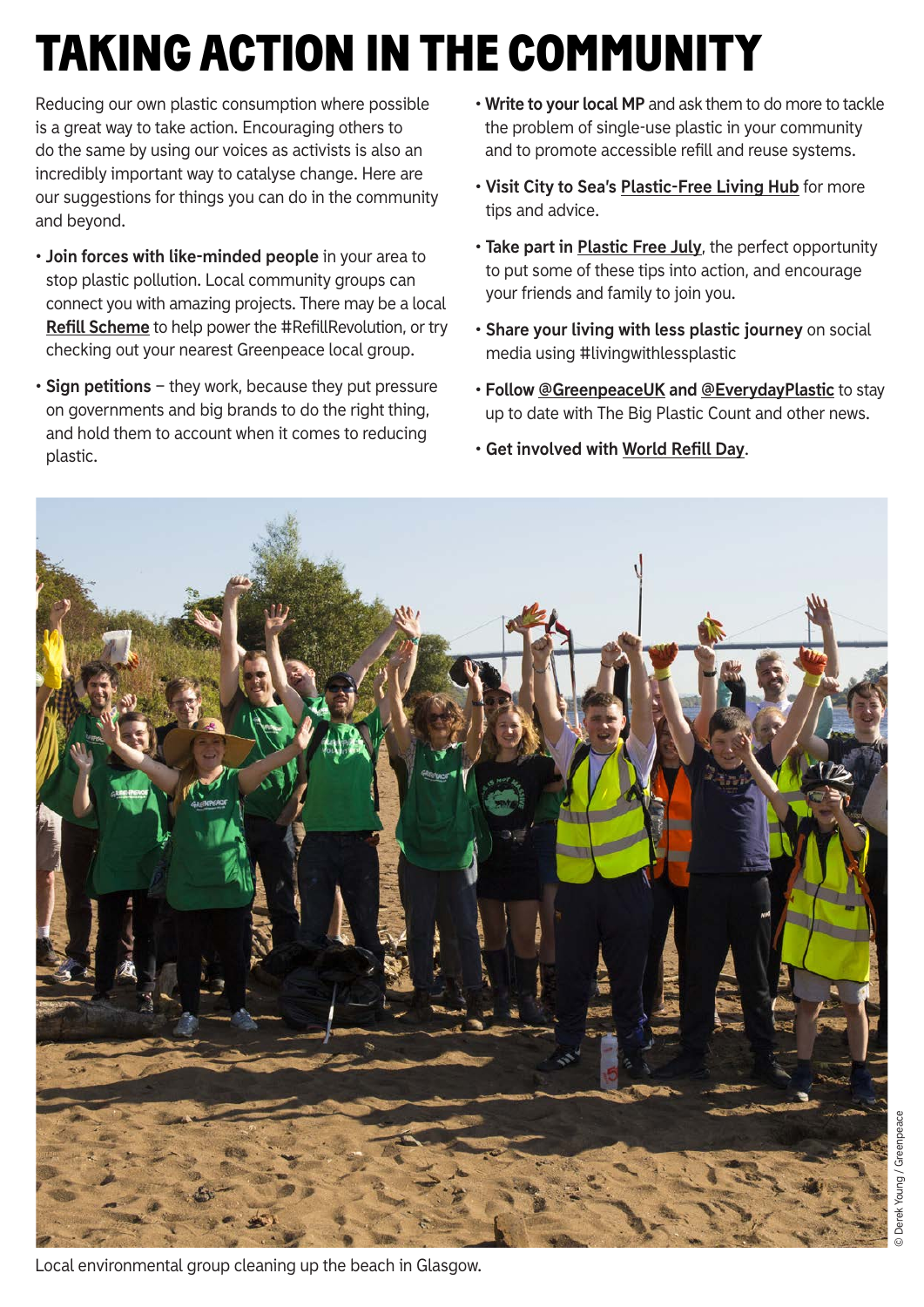## TAKING ACTION IN THE COMMUNITY

Reducing our own plastic consumption where possible is a great way to take action. Encouraging others to do the same by using our voices as activists is also an incredibly important way to catalyse change. Here are our suggestions for things you can do in the community and beyond.

- **Join forces with like-minded people** in your area to stop plastic pollution. Local community groups can connect you with amazing projects. There may be a local **[Refill Scheme](https://www.refill.org.uk/refill-schemes/)** to help power the #RefillRevolution, or try checking out your nearest Greenpeace local group.
- **Sign petitions** they work, because they put pressure on governments and big brands to do the right thing, and hold them to account when it comes to reducing plastic.
- **Write to your local MP** and ask them to do more to tackle the problem of single-use plastic in your community and to promote accessible refill and reuse systems.
- **Visit City to Sea's [Plastic-Free Living Hub](https://www.citytosea.org.uk/plastic-free-living/)** for more tips and advice.
- **Take part in [Plastic Free July](https://www.plasticfreejuly.org/)**, the perfect opportunity to put some of these tips into action, and encourage your friends and family to join you.
- **Share your living with less plastic journey** on social media using #livingwithlessplastic
- **Follow [@GreenpeaceUK](https://www.instagram.com/greenpeaceuk/) and [@EverydayPlastic](https://www.instagram.com/everydayplastic/)** to stay up to date with The Big Plastic Count and other news.
- **Get involved with [World Refill Day](https://www.refill.org.uk/world-refill-day/)**.

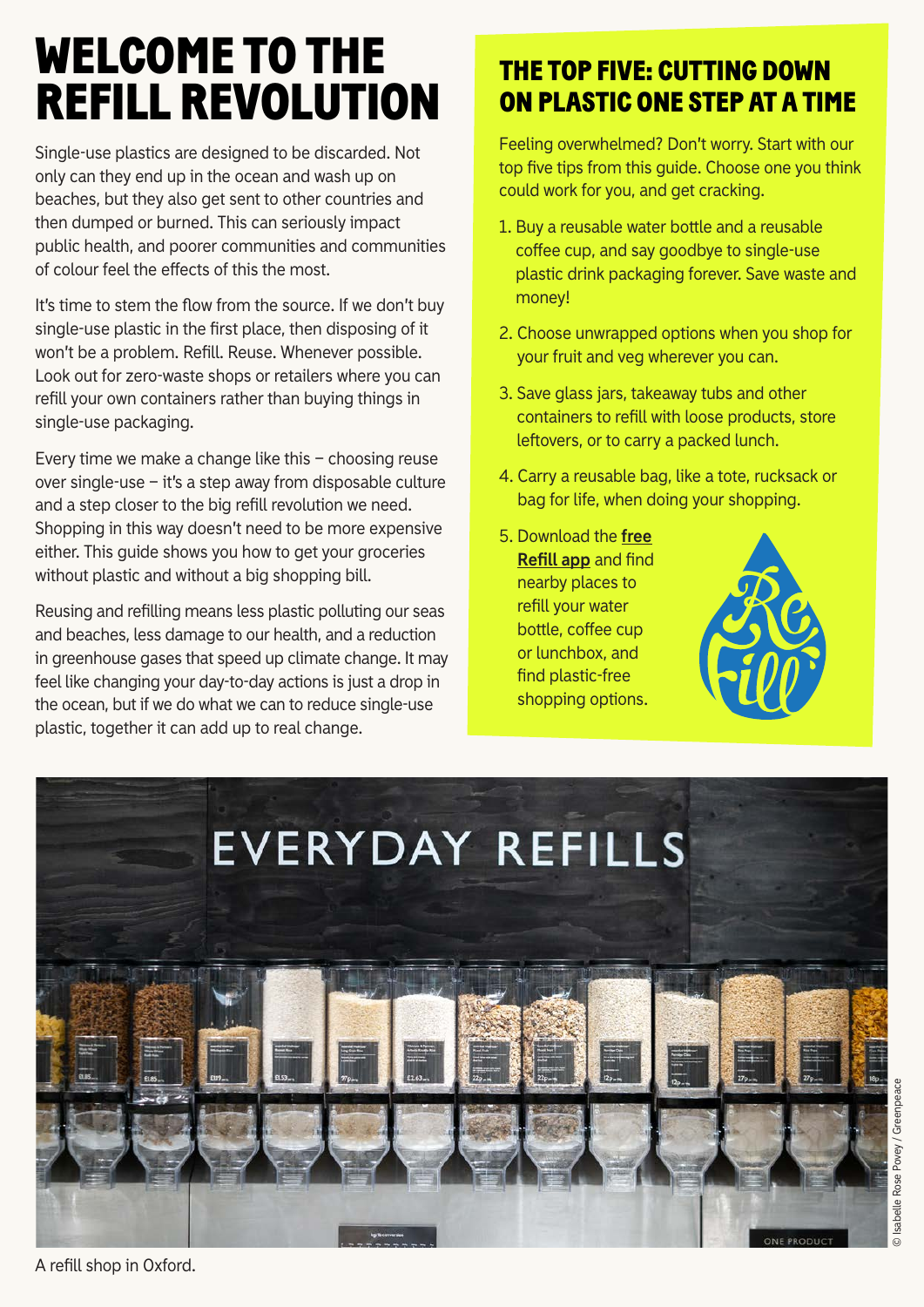## WELCOME TO THE REFILL REVOLUTION

Single-use plastics are designed to be discarded. Not only can they end up in the ocean and wash up on beaches, but they also get sent to other countries and then dumped or burned. This can seriously impact public health, and poorer communities and communities of colour feel the effects of this the most.

It's time to stem the flow from the source. If we don't buy single-use plastic in the first place, then disposing of it won't be a problem. Refill. Reuse. Whenever possible. Look out for zero-waste shops or retailers where you can refill your own containers rather than buying things in single-use packaging.

Every time we make a change like this – choosing reuse over single-use – it's a step away from disposable culture and a step closer to the big refill revolution we need. Shopping in this way doesn't need to be more expensive either. This guide shows you how to get your groceries without plastic and without a big shopping bill.

Reusing and refilling means less plastic polluting our seas and beaches, less damage to our health, and a reduction in greenhouse gases that speed up climate change. It may feel like changing your day-to-day actions is just a drop in the ocean, but if we do what we can to reduce single-use plastic, together it can add up to real change.

### THE TOP FIVE: CUTTING DOWN ON PLASTIC ONE STEP AT A TIME

Feeling overwhelmed? Don't worry. Start with our top five tips from this guide. Choose one you think could work for you, and get cracking.

- 1. Buy a reusable water bottle and a reusable coffee cup, and say goodbye to single-use plastic drink packaging forever. Save waste and money!
- 2. Choose unwrapped options when you shop for your fruit and veg wherever you can.
- 3. Save glass jars, takeaway tubs and other containers to refill with loose products, store leftovers, or to carry a packed lunch.
- 4. Carry a reusable bag, like a tote, rucksack or bag for life, when doing your shopping.
- 5. [Download the](https://smarturl.it/GreenpeaceRefillApp) **free Refill app** and find nearby places to refill your water bottle, coffee cup or lunchbox, and find plastic-free shopping options.





A refill shop in Oxford.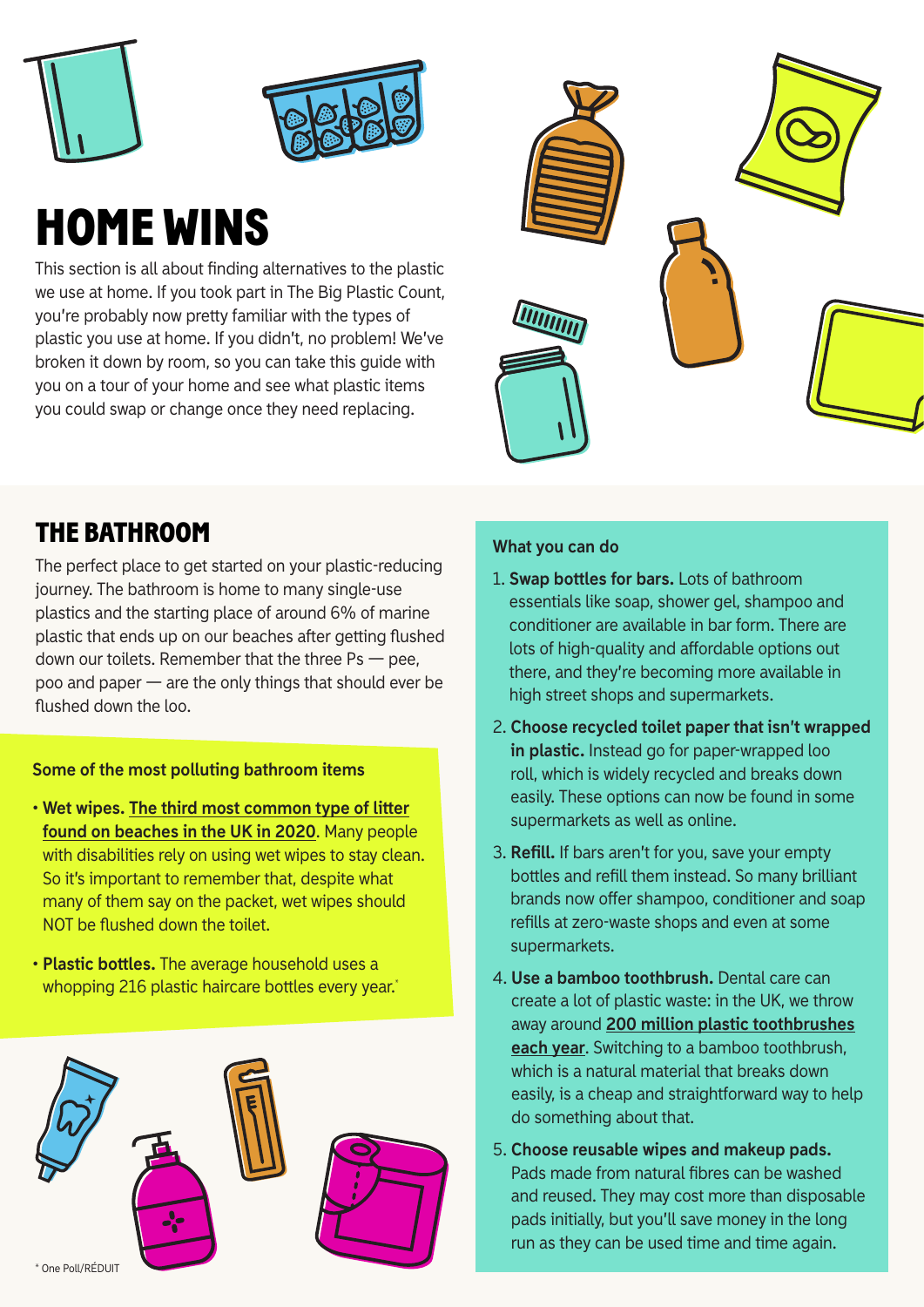



## HOME WINS

This section is all about finding alternatives to the plastic we use at home. If you took part in The Big Plastic Count, you're probably now pretty familiar with the types of plastic you use at home. If you didn't, no problem! We've broken it down by room, so you can take this guide with you on a tour of your home and see what plastic items you could swap or change once they need replacing.



### THE BATHROOM

The perfect place to get started on your plastic-reducing journey. The bathroom is home to many single-use plastics and the starting place of around 6% of marine plastic that ends up on our beaches after getting flushed down our toilets. Remember that the three  $Ps$   $-$  pee, poo and paper — are the only things that should ever be flushed down the loo.

#### **Some of the most polluting bathroom items**

- **• [Wet wipes. The third most common type of litter](https://www.mcsuk.org/news/analysing-high-streets-wet-wipe-claims/) found on beaches in the UK in 2020**. Many people with disabilities rely on using wet wipes to stay clean. So it's important to remember that, despite what many of them say on the packet, wet wipes should NOT be flushed down the toilet.
- **• Plastic bottles.** The average household uses a whopping 216 plastic haircare bottles every year.<sup>\*</sup>



#### **What you can do**

- 1. **Swap bottles for bars.** Lots of bathroom essentials like soap, shower gel, shampoo and conditioner are available in bar form. There are lots of high-quality and affordable options out there, and they're becoming more available in high street shops and supermarkets.
- 2. **Choose recycled toilet paper that isn't wrapped in plastic.** Instead go for paper-wrapped loo roll, which is widely recycled and breaks down easily. These options can now be found in some supermarkets as well as online.
- 3. **Refill.** If bars aren't for you, save your empty bottles and refill them instead. So many brilliant brands now offer shampoo, conditioner and soap refills at zero-waste shops and even at some supermarkets.
- 4. **Use a bamboo toothbrush.** Dental care can create a lot of plastic waste: in the UK, we throw away around **200 million plastic toothbrushes each year**[. Switching to a bamboo toothbrush,](https://www.which.co.uk/news/article/how-can-we-tackle-our-bathroom-plastics-problem-aeRv58T38DBr) which is a natural material that breaks down easily, is a cheap and straightforward way to help do something about that.
- 5. **Choose reusable wipes and makeup pads.** Pads made from natural fibres can be washed and reused. They may cost more than disposable pads initially, but you'll save money in the long run as they can be used time and time again.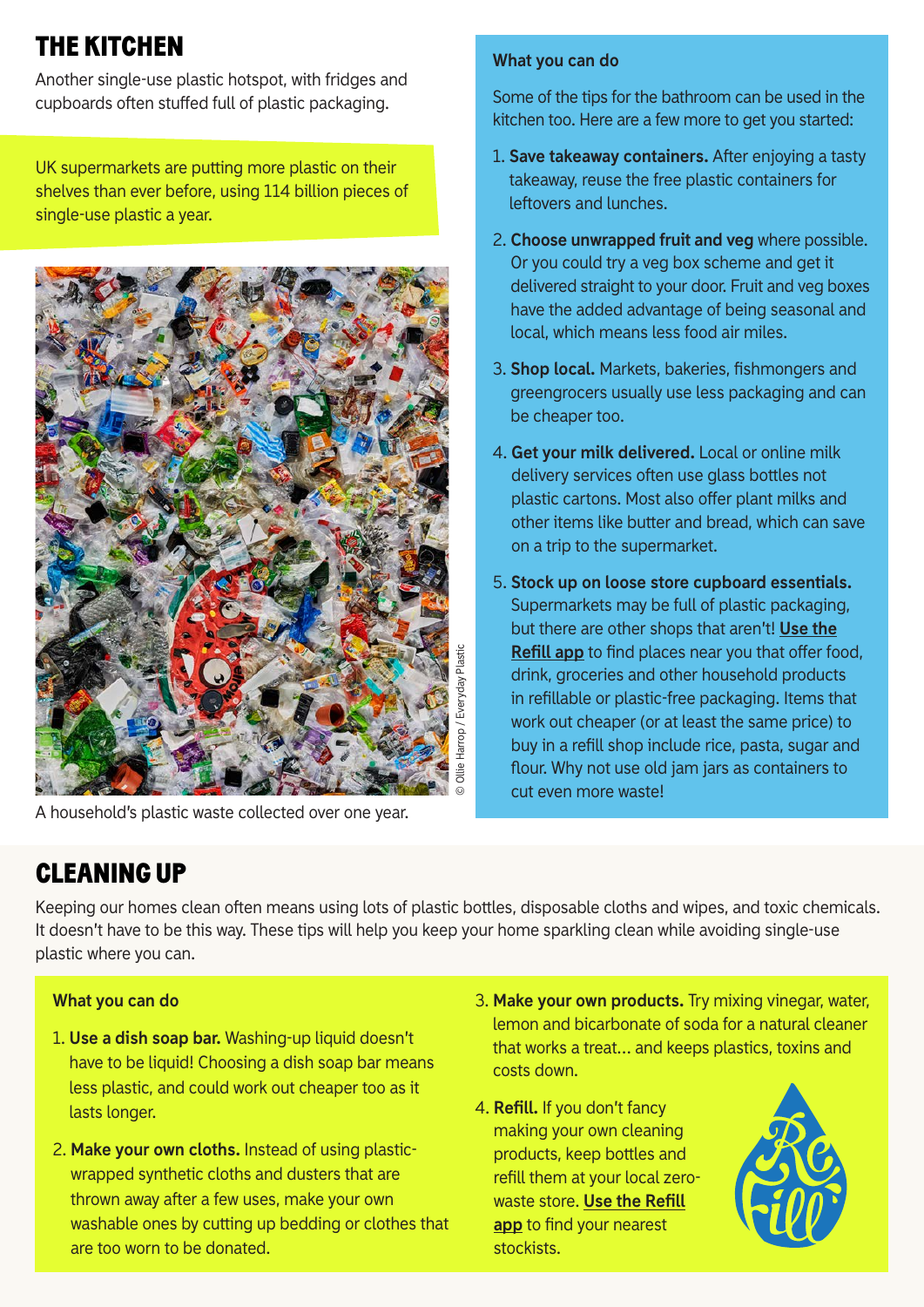## THE KITCHEN

Another single-use plastic hotspot, with fridges and cupboards often stuffed full of plastic packaging.

UK supermarkets are putting more plastic on their shelves than ever before, using 114 billion pieces of single-use plastic a year.



A household's plastic waste collected over one year.

#### **What you can do**

Some of the tips for the bathroom can be used in the kitchen too. Here are a few more to get you started:

- 1. **Save takeaway containers.** After enjoying a tasty takeaway, reuse the free plastic containers for leftovers and lunches.
- 2. **Choose unwrapped fruit and veg** where possible. Or you could try a veg box scheme and get it delivered straight to your door. Fruit and veg boxes have the added advantage of being seasonal and local, which means less food air miles.
- 3. **Shop local.** Markets, bakeries, fishmongers and greengrocers usually use less packaging and can be cheaper too.
- 4. **Get your milk delivered.** Local or online milk delivery services often use glass bottles not plastic cartons. Most also offer plant milks and other items like butter and bread, which can save on a trip to the supermarket.
- 5. **Stock up on loose store cupboard essentials.** Supermarkets may be full of plastic packaging, [but there are other shops that aren't!](https://smarturl.it/GreenpeaceRefillApp) **Use the Refill app** to find places near you that offer food, drink, groceries and other household products in refillable or plastic-free packaging. Items that work out cheaper (or at least the same price) to buy in a refill shop include rice, pasta, sugar and flour. Why not use old jam jars as containers to cut even more waste!

### CLEANING UP

Keeping our homes clean often means using lots of plastic bottles, disposable cloths and wipes, and toxic chemicals. It doesn't have to be this way. These tips will help you keep your home sparkling clean while avoiding single-use plastic where you can.

#### **What you can do**

- 1. **Use a dish soap bar.** Washing-up liquid doesn't have to be liquid! Choosing a dish soap bar means less plastic, and could work out cheaper too as it lasts longer.
- 2. **Make your own cloths.** Instead of using plasticwrapped synthetic cloths and dusters that are thrown away after a few uses, make your own washable ones by cutting up bedding or clothes that are too worn to be donated.
- 3. **Make your own products.** Try mixing vinegar, water, lemon and bicarbonate of soda for a natural cleaner that works a treat… and keeps plastics, toxins and costs down.
- 4. **Refill.** If you don't fancy making your own cleaning products, keep bottles and refill them at your local zerowaste store. **Use the Refill app** [to find your nearest](https://smarturl.it/GreenpeaceRefillApp) stockists.

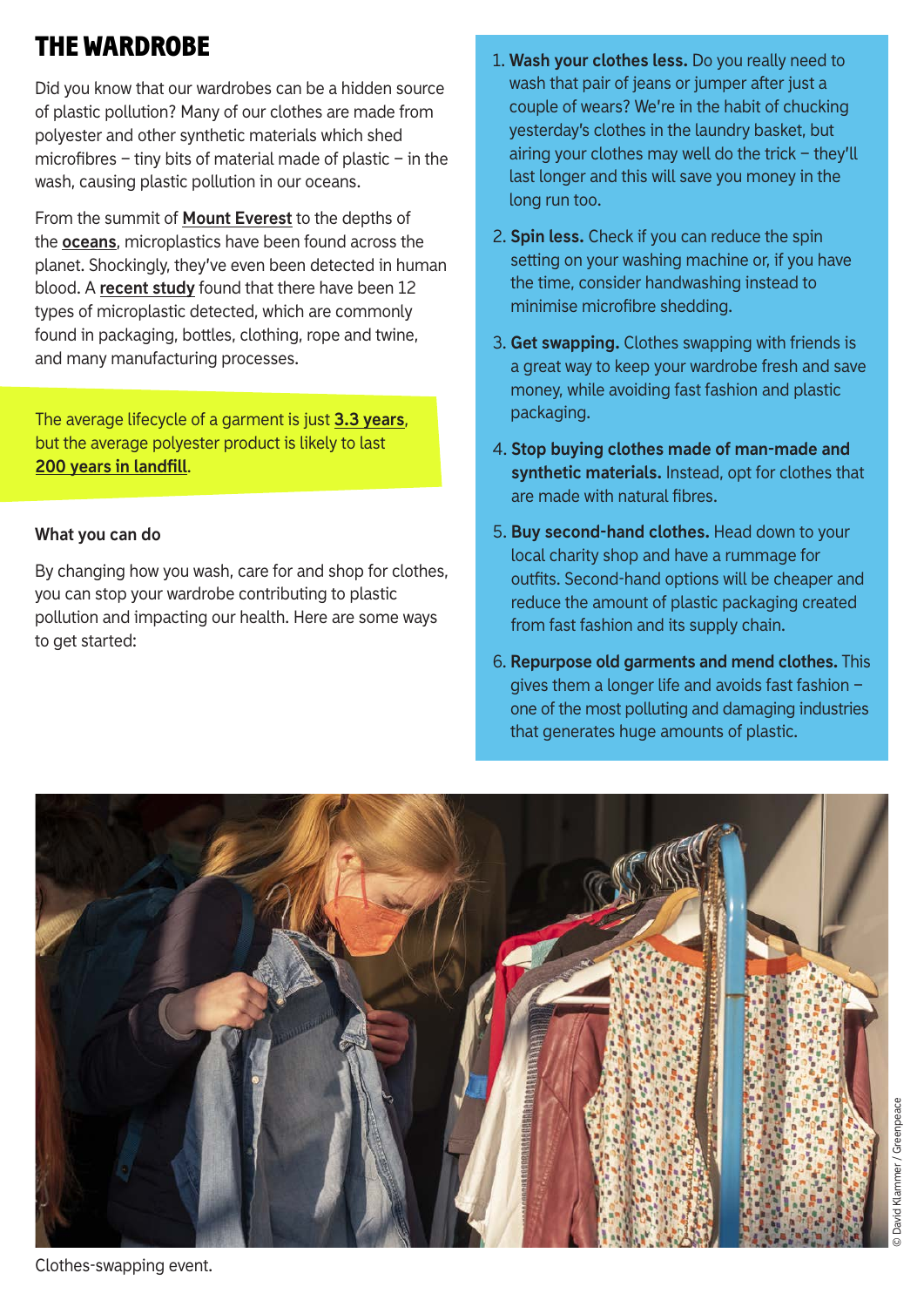## THE WARDROBE

Did you know that our wardrobes can be a hidden source of plastic pollution? Many of our clothes are made from polyester and other synthetic materials which shed microfibres – tiny bits of material made of plastic – in the wash, causing plastic pollution in our oceans.

From the summit of **[Mount Everest](https://www.theguardian.com/environment/2020/nov/20/microplastic-pollution-found-near-summit-of-mount-everest)** to the depths of the **[oceans](https://www.theguardian.com/environment/2018/dec/20/plastic-pollution-mariana-trench-deepest-point-ocean)**, microplastics have been found across the planet. Shockingly, they've even been detected in human blood. A **[recent study](https://commonseas.com/blood-type-plastic)** found that there have been 12 types of microplastic detected, which are commonly found in packaging, bottles, clothing, rope and twine, and many manufacturing processes.

The average lifecycle of a garment is just **[3.3 years](https://wrap.org.uk/taking-action/textiles)**, but the average polyester product is likely to last **[200 years in landfill](http://changingmarkets.org/wp-content/uploads/2021/01/FOSSIL-FASHION_Web-compressed.pdf)**.

#### **What you can do**

By changing how you wash, care for and shop for clothes, you can stop your wardrobe contributing to plastic pollution and impacting our health. Here are some ways to get started:

- 1. **Wash your clothes less.** Do you really need to wash that pair of jeans or jumper after just a couple of wears? We're in the habit of chucking yesterday's clothes in the laundry basket, but airing your clothes may well do the trick – they'll last longer and this will save you money in the long run too.
- 2. **Spin less.** Check if you can reduce the spin setting on your washing machine or, if you have the time, consider handwashing instead to minimise microfibre shedding.
- 3. **Get swapping.** Clothes swapping with friends is a great way to keep your wardrobe fresh and save money, while avoiding fast fashion and plastic packaging.
- 4. **Stop buying clothes made of man-made and synthetic materials.** Instead, opt for clothes that are made with natural fibres.
- 5. **Buy second-hand clothes.** Head down to your local charity shop and have a rummage for outfits. Second-hand options will be cheaper and reduce the amount of plastic packaging created from fast fashion and its supply chain.
- 6. **Repurpose old garments and mend clothes.** This gives them a longer life and avoids fast fashion – one of the most polluting and damaging industries that generates huge amounts of plastic.



Clothes-swapping event.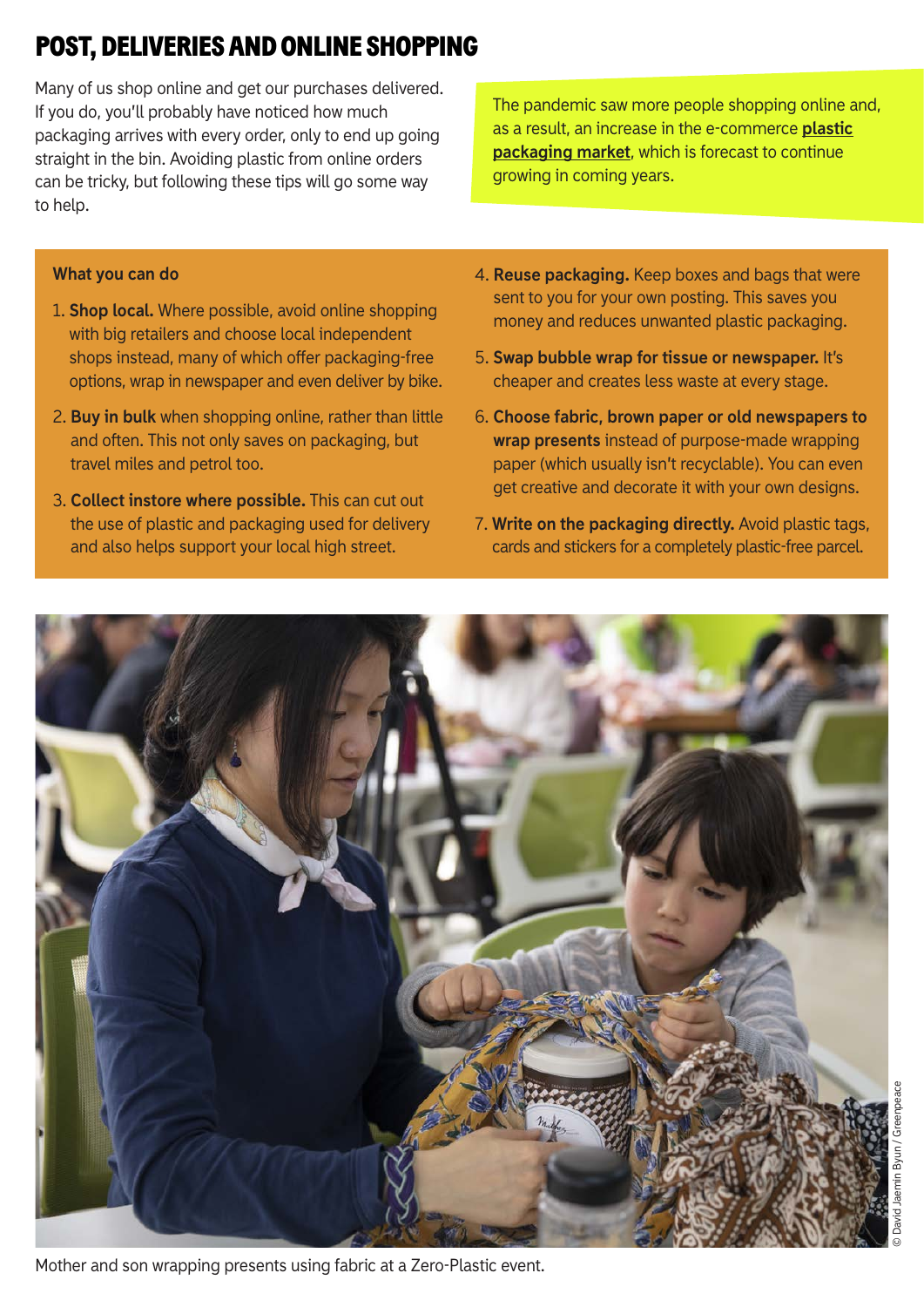## POST, DELIVERIES AND ONLINE SHOPPING

Many of us shop online and get our purchases delivered. If you do, you'll probably have noticed how much packaging arrives with every order, only to end up going straight in the bin. Avoiding plastic from online orders can be tricky, but following these tips will go some way to help.

The pandemic saw more people shopping online and, [as a result, an increase in the e-commerce](https://www.mordorintelligence.com/industry-reports/e-commerce-plastic-packaging-market) **plastic packaging market**, which is forecast to continue growing in coming years.

#### **What you can do**

- 1. **Shop local.** Where possible, avoid online shopping with big retailers and choose local independent shops instead, many of which offer packaging-free options, wrap in newspaper and even deliver by bike.
- 2. **Buy in bulk** when shopping online, rather than little and often. This not only saves on packaging, but travel miles and petrol too.
- 3. **Collect instore where possible.** This can cut out the use of plastic and packaging used for delivery and also helps support your local high street.
- 4. **Reuse packaging.** Keep boxes and bags that were sent to you for your own posting. This saves you money and reduces unwanted plastic packaging.
- 5. **Swap bubble wrap for tissue or newspaper.** It's cheaper and creates less waste at every stage.
- 6. **Choose fabric, brown paper or old newspapers to wrap presents** instead of purpose-made wrapping paper (which usually isn't recyclable). You can even get creative and decorate it with your own designs.
- 7. **Write on the packaging directly.** Avoid plastic tags, cards and stickers for a completely plastic-free parcel.

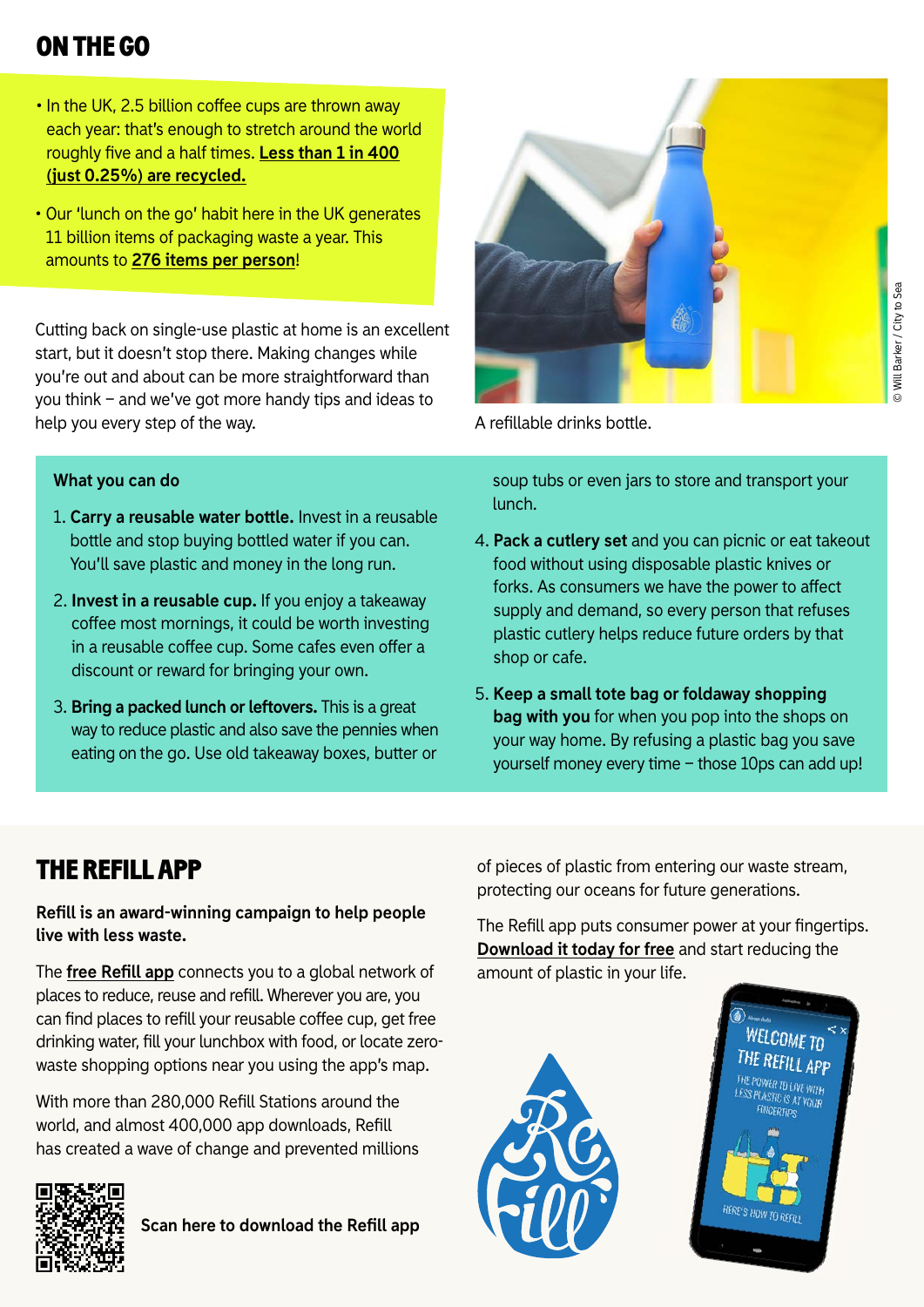### ON THE GO

- In the UK, 2.5 billion coffee cups are thrown away each year: that's enough to stretch around the world roughly five and a half times. Less than 1 in 400 **(just 0.25%) are recycled.**
- Our 'lunch on the go' habit here in the UK generates 11 billion items of packaging waste a year. This amounts to **[276 items per person](https://www.packagingnews.co.uk/news/waste-management/lunch-go-habit-generates-billions-packaging-waste-items-14-05-2019)**!

Cutting back on single-use plastic at home is an excellent start, but it doesn't stop there. Making changes while you're out and about can be more straightforward than you think – and we've got more handy tips and ideas to help you every step of the way.



#### **What you can do**

- 1. **Carry a reusable water bottle.** Invest in a reusable bottle and stop buying bottled water if you can. You'll save plastic and money in the long run.
- 2. **Invest in a reusable cup.** If you enjoy a takeaway coffee most mornings, it could be worth investing in a reusable coffee cup. Some cafes even offer a discount or reward for bringing your own.
- 3. **Bring a packed lunch or leftovers.** This is a great way to reduce plastic and also save the pennies when eating on the go. Use old takeaway boxes, butter or

A refillable drinks bottle.

soup tubs or even jars to store and transport your lunch.

- 4. **Pack a cutlery set** and you can picnic or eat takeout food without using disposable plastic knives or forks. As consumers we have the power to affect supply and demand, so every person that refuses plastic cutlery helps reduce future orders by that shop or cafe.
- 5. **Keep a small tote bag or foldaway shopping bag with you** for when you pop into the shops on your way home. By refusing a plastic bag you save yourself money every time – those 10ps can add up!

### THE REFILL APP

**Refill is an award-winning campaign to help people live with less waste.** 

The **free Refill app** connects you to a global network of places to reduce, reuse and refill. Wherever you are, you can find places to refill your reusable coffee cup, get free drinking water, fill your lunchbox with food, or locate zerowaste shopping options near you using the app's map.

With more than 280,000 Refill Stations around the world, and almost 400,000 app downloads, Refill has created a wave of change and prevented millions



**Scan here to download the Refill app** 

of pieces of plastic from entering our waste stream, protecting our oceans for future generations.

The Refill app puts consumer power at your fingertips. **[Download it today for free](https://smarturl.it/GreenpeaceRefillApp)** and start reducing the amount of plastic in your life.